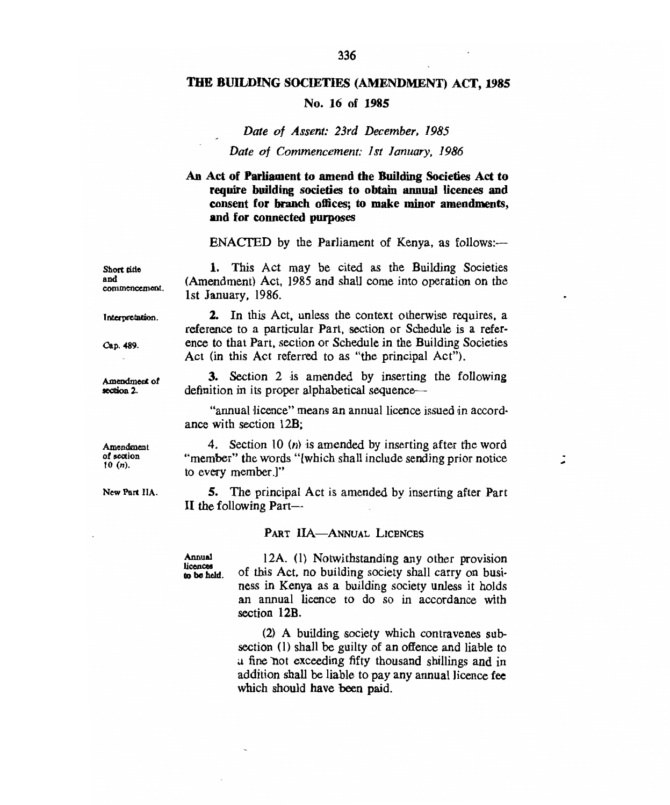## **THE BUILDING SOCIETIES (AMENDMENT) ACT, 1985**

## **No. 16 of 1985**

## Date of Assent: 23rd December, 1985

## Date of Commencement: 1st January, 1986

## **An Act of Parliament to amend the Building Societies Act to require building societies to obtain annual licences and consent for branch offices; to make minor amendments, and for connected purposes**

ENACTED by the Parliament of Kenya, as follows:-

1. This Act may be cited as the Building Societies (Amendment) Act, 1985 and shall come into operation on the 1st January, 1986. **Short title commencement.** 

**Interweiatian.** 

**Cap. 489.** 

**and** 

**Amendment of section 2.** 

2. In this Act, unless the context otherwise requires, a reference to a particular Part, section or Schedule is a reference to that Part, section or Schedule in the Building Societies Act (in this Act referred to as "the principal Act").

3. Section 2 is amended by inserting the following definition in its proper alphabetical sequence—

"annual licence" means an annual licence issued in accordance with section 12B;

4. Section 10 (n) is amended by inserting after the word "member" the words "[which shall include sending prior notice to every member.]"

5. The principal Act is amended by inserting after Part II the following Part—

## **PART HA—ANNUAL LICENCES**

**Annual licences to be held** 

12A. (1) Notwithstanding any other provision of this Act, no building society shall carry on business in Kenya as a building society unless it holds an annual licence to do so in accordance with section **12B.** 

(2) A building society which contravenes subsection (1) shall be guilty of an offence and liable to a fine not exceeding fifty thousand shillings and in addition shall be liable to pay any annual licence fee which should **have been paid.** 

**Amendment of section 10** *(n).* 

**New Part IIA.**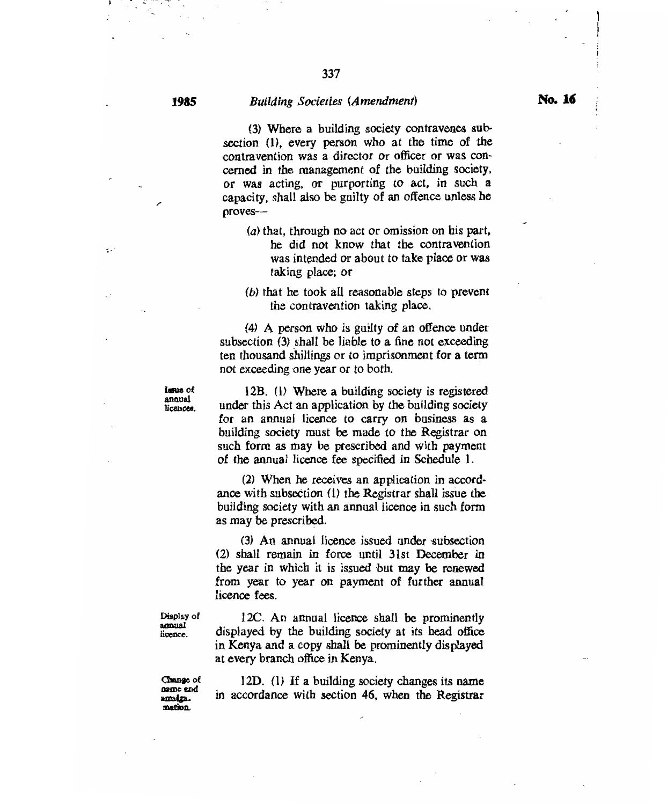$\ddot{\cdot}$ 

## **<sup>1985</sup>***Building Societies (Amendment)*

(3) Where a building society contravenes subsection (1), every person who at the time of the contravention was a director or officer or was concerned in the management of the building society. or was acting, or purporting to act, in such a capacity, shall also be guilty of an offence unless he proves—

- (a) that, through no act or omission on his part, he did not know that the contravention was intended or about to take place or was taking place; or
- *(6)* that he took all reasonable steps to prevent the contravention taking place.

(4) A person who is guilty of an offence under subsection (3) shall be liable to a fine not exceeding ten thousand shillings or to imprisonment for a term not exceeding one year or to both.

Issue of **Issue of**  licences.

12B. (1) Where a building society is registered under this Act an application by the building society for an annual licence to carry on business as a building society must be made to the Registrar on such form as may be prescribed and with payment of the annual licence fee specified in Schedule 1.

(2)When he receives an application in accordance with subsection (1) the Registrar shall issue the building society with an annual licence in such form as may be prescribed.

(3) An annual licence issued under subsection (2) shall remain in force until 31st December in the year in which it is issued but may be renewed om year to year on payment of further annual licence fees.

Display of amual licence.

I2C. An annual licence shall be prominently displayed by the building society at its head office in Kenya and a copy shall be prominently displayed at every branch office in Kenya.

Change of **name** and **name and**  mation. **=don.** 

12D. (1) If a building society changes its name in accordance with section 46, when the Registrar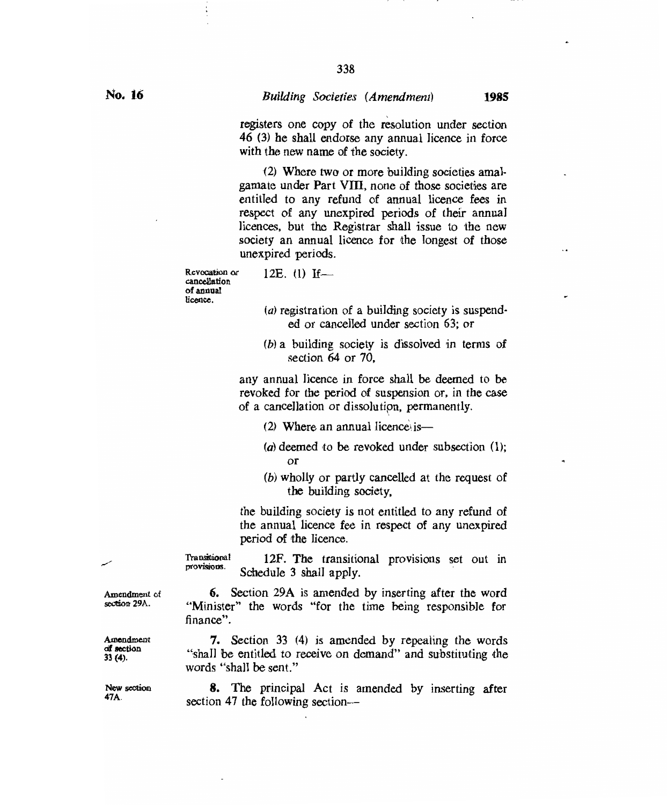338

registers one copy of the resolution under section 46 (3) he shall endorse any annual licence in force with the new name of the society.

(2) Where two or more building societies amal- gamate under Part **VIII,** none of those societies are entitled to any refund of annual licence fees in respect of any unexpired periods of their annual licences, but the Registrar shall issue to the new society an annual licence for the longest of those unexpired periods.

Revocation or cancellation of annual licence.

# 12E.  $(1)$  If-

- $(a)$  registration of a building society is suspended or cancelled under section 63; or
- (b)a building society is dissolved in terms of section 64 or 70,

any annual licence in force shall be deemed to be revoked for the period of suspension or, in the case of a cancellation or dissolution, permanently.

- $(2)$  Where an annual licence is-
- (a) deemed to be revoked under subsection  $(1)$ ; or
- (b)wholly or partly cancelled at the request of the building society,

the building society is not entitled to any refund of the annual licence fee in respect of any unexpired period of the licence.

12F. The transitional provisions set out in Schedule 3 shall apply. **Transitional** provisions.

6. Section 29A is amended by inserting after the word "Minister" the words "for the time being responsible for finance".

7. Section 33 (4) is amended by repealing the words "shall be entitled to receive on demand" and substituting the words "shall be sent."

8. The principal Act is amended by inserting after section 47 the following section—

Amendment of section 29A.

Amendment of section 33 (4).

New section 47A.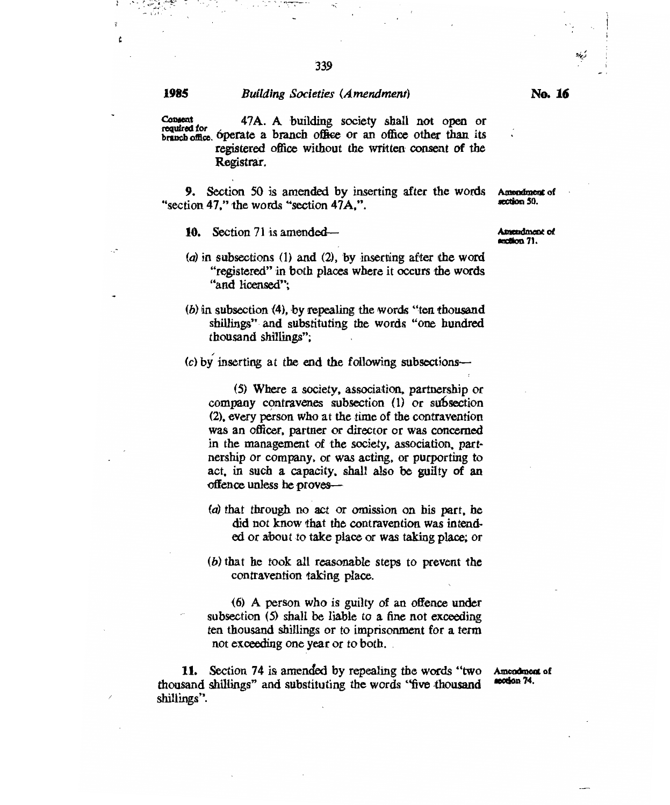Ł

## **<sup>1985</sup>***Building Societies (Amendment)*

**Consent 47A.** A building society shall not open or required for  $\epsilon$  presents a beginning on  $\epsilon$ **branch office. óperate a branch office** or an office other than its registered office without the written consent of the Registrar.

**9.** Section 50 is amended by inserting after the words Amendment "section 47," the words "section 47A,".

**10.** Section 71 is amended—<br>**section** 71.

- (a) in subsections (1) and (2), by inserting after the word "registered" in both places where it occurs the words "and licensed";
- (6) in subsection (4), by repealing the words "ten thousand shillings" and substituting the words "one hundred thousand shillings";

 $(c)$  by inserting at the end the following subsections-

(5) Where a society, association, partnership or company contravenes subsection (1) or suhsection (2), every person who at the time of the contravention was an officer, partner or director or was concerned in the management of the society, association, partnership or company, or was acting, or purporting to act, in such a capacity, shall also be guilty of an offence unless he proves—

- $(a)$  that through no act or omission on his part, he did not know that the contravention was intended or about to take place or was taking place; or
- $(b)$  that he took all reasonable steps to prevent the contravention taking place.

(6) A person who is guilty of an offence under subsection (5) shall be liable to a fine not exceeding ten thousand shillings or to imprisonment for a term not exceeding one year or to both.

11. Section 74 is amended by repealing the words "two Amendment" and substituting the words "form the words 74. thousand shillings" and substituting the words "five thousand shillings".

**Amendment** of

**Amendment of** 

**mendment of mion 50.**